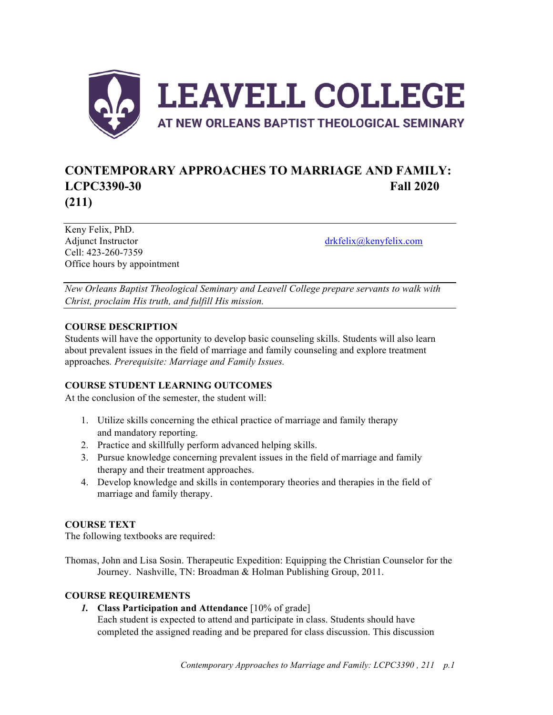

# **CONTEMPORARY APPROACHES TO MARRIAGE AND FAMILY: LCPC3390-30 Fall 2020 (211)**

Keny Felix, PhD. Adjunct Instructor drkfelix@kenyfelix.com Cell: 423-260-7359 Office hours by appointment

*New Orleans Baptist Theological Seminary and Leavell College prepare servants to walk with Christ, proclaim His truth, and fulfill His mission.*

## **COURSE DESCRIPTION**

Students will have the opportunity to develop basic counseling skills. Students will also learn about prevalent issues in the field of marriage and family counseling and explore treatment approaches*. Prerequisite: Marriage and Family Issues.*

# **COURSE STUDENT LEARNING OUTCOMES**

At the conclusion of the semester, the student will:

- 1. Utilize skills concerning the ethical practice of marriage and family therapy and mandatory reporting.
- 2. Practice and skillfully perform advanced helping skills.
- 3. Pursue knowledge concerning prevalent issues in the field of marriage and family therapy and their treatment approaches.
- 4. Develop knowledge and skills in contemporary theories and therapies in the field of marriage and family therapy.

#### **COURSE TEXT**

The following textbooks are required:

Thomas, John and Lisa Sosin. Therapeutic Expedition: Equipping the Christian Counselor for the Journey. Nashville, TN: Broadman & Holman Publishing Group, 2011.

#### **COURSE REQUIREMENTS**

*1.* **Class Participation and Attendance** [10% of grade] Each student is expected to attend and participate in class. Students should have completed the assigned reading and be prepared for class discussion. This discussion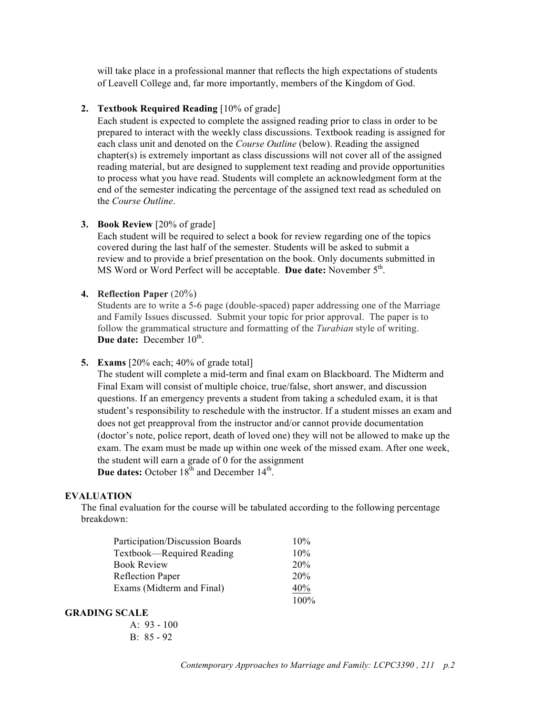will take place in a professional manner that reflects the high expectations of students of Leavell College and, far more importantly, members of the Kingdom of God.

#### **2. Textbook Required Reading** [10% of grade]

Each student is expected to complete the assigned reading prior to class in order to be prepared to interact with the weekly class discussions. Textbook reading is assigned for each class unit and denoted on the *Course Outline* (below). Reading the assigned chapter(s) is extremely important as class discussions will not cover all of the assigned reading material, but are designed to supplement text reading and provide opportunities to process what you have read. Students will complete an acknowledgment form at the end of the semester indicating the percentage of the assigned text read as scheduled on the *Course Outline*.

#### **3. Book Review** [20% of grade]

Each student will be required to select a book for review regarding one of the topics covered during the last half of the semester. Students will be asked to submit a review and to provide a brief presentation on the book. Only documents submitted in MS Word or Word Perfect will be acceptable. **Due date:** November  $5<sup>th</sup>$ .

#### **4. Reflection Paper** (20%)

Students are to write a 5-6 page (double-spaced) paper addressing one of the Marriage and Family Issues discussed. Submit your topic for prior approval. The paper is to follow the grammatical structure and formatting of the *Turabian* style of writing. **Due date:** December 10<sup>th</sup>.

**5. Exams** [20% each; 40% of grade total]

The student will complete a mid-term and final exam on Blackboard. The Midterm and Final Exam will consist of multiple choice, true/false, short answer, and discussion questions. If an emergency prevents a student from taking a scheduled exam, it is that student's responsibility to reschedule with the instructor. If a student misses an exam and does not get preapproval from the instructor and/or cannot provide documentation (doctor's note, police report, death of loved one) they will not be allowed to make up the exam. The exam must be made up within one week of the missed exam. After one week, the student will earn a grade of 0 for the assignment **Due dates:** October  $18^{th}$  and December  $14^{th}$ .

#### **EVALUATION**

The final evaluation for the course will be tabulated according to the following percentage breakdown:

| Participation/Discussion Boards | 10%     |
|---------------------------------|---------|
| Textbook—Required Reading       | 10%     |
| <b>Book Review</b>              | 20%     |
| <b>Reflection Paper</b>         | 20%     |
| Exams (Midterm and Final)       | 40%     |
|                                 | $100\%$ |

#### **GRADING SCALE**

A: 93 - 100 B: 85 - 92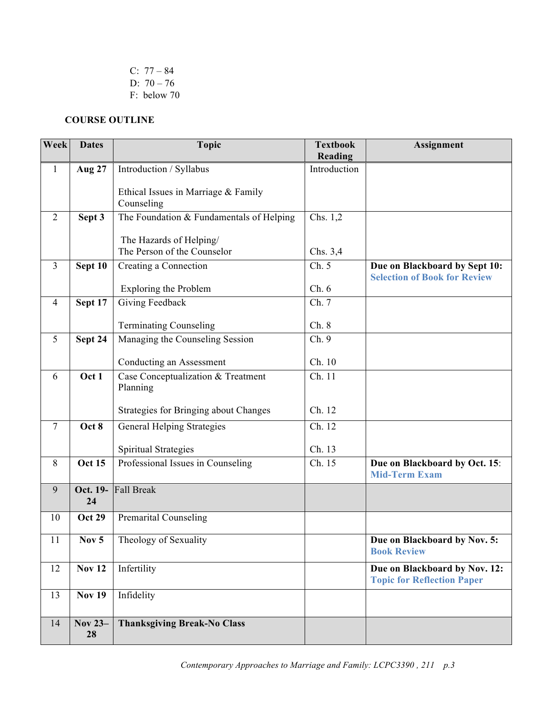C:  $77 - 84$ D: 70 – 76 F: below 70

# **COURSE OUTLINE**

| Week           | <b>Dates</b>   | <b>Topic</b>                                           | <b>Textbook</b><br>Reading | <b>Assignment</b>                                                  |
|----------------|----------------|--------------------------------------------------------|----------------------------|--------------------------------------------------------------------|
| $\mathbf{1}$   | <b>Aug 27</b>  | Introduction / Syllabus                                | Introduction               |                                                                    |
|                |                | Ethical Issues in Marriage & Family<br>Counseling      |                            |                                                                    |
| $\overline{2}$ | Sept 3         | The Foundation & Fundamentals of Helping               | Chs. 1,2                   |                                                                    |
|                |                | The Hazards of Helping/<br>The Person of the Counselor | Chs. 3,4                   |                                                                    |
| $\overline{3}$ | Sept $10$      | Creating a Connection                                  | Ch. 5                      | Due on Blackboard by Sept 10:                                      |
|                |                | Exploring the Problem                                  | Ch.6                       | <b>Selection of Book for Review</b>                                |
| $\overline{4}$ | Sept 17        | Giving Feedback                                        | Ch. 7                      |                                                                    |
|                |                |                                                        |                            |                                                                    |
|                |                | <b>Terminating Counseling</b>                          | Ch.8                       |                                                                    |
| 5              | Sept 24        | Managing the Counseling Session                        | Ch. 9                      |                                                                    |
|                |                | Conducting an Assessment                               | Ch. 10                     |                                                                    |
| 6              | Oct 1          | Case Conceptualization & Treatment<br>Planning         | Ch. 11                     |                                                                    |
|                |                | Strategies for Bringing about Changes                  | Ch. 12                     |                                                                    |
| $\overline{7}$ | Oct 8          | <b>General Helping Strategies</b>                      | Ch. 12                     |                                                                    |
|                |                | Spiritual Strategies                                   | Ch. 13                     |                                                                    |
| 8              | <b>Oct 15</b>  | Professional Issues in Counseling                      | Ch. 15                     | Due on Blackboard by Oct. 15:<br><b>Mid-Term Exam</b>              |
| 9              | Oct. 19-<br>24 | Fall Break                                             |                            |                                                                    |
| 10             | <b>Oct 29</b>  | <b>Premarital Counseling</b>                           |                            |                                                                    |
| 11             | Nov $5$        | Theology of Sexuality                                  |                            | Due on Blackboard by Nov. 5:<br><b>Book Review</b>                 |
| 12             | <b>Nov 12</b>  | Infertility                                            |                            | Due on Blackboard by Nov. 12:<br><b>Topic for Reflection Paper</b> |
| 13             | <b>Nov 19</b>  | Infidelity                                             |                            |                                                                    |
| 14             | Nov 23-<br>28  | <b>Thanksgiving Break-No Class</b>                     |                            |                                                                    |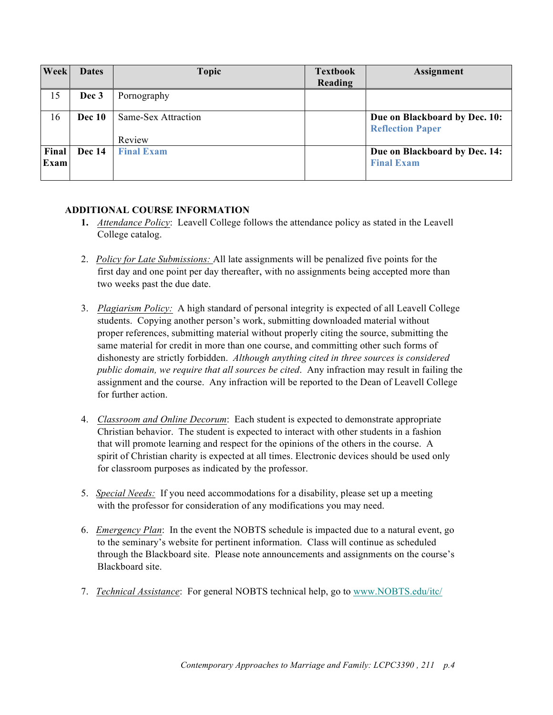| Week  | <b>Dates</b>  | <b>Topic</b>        | <b>Textbook</b> | Assignment                                               |
|-------|---------------|---------------------|-----------------|----------------------------------------------------------|
|       |               |                     | Reading         |                                                          |
| 15    | Dec 3         | Pornography         |                 |                                                          |
| 16    | <b>Dec 10</b> | Same-Sex Attraction |                 | Due on Blackboard by Dec. 10:<br><b>Reflection Paper</b> |
|       |               | Review              |                 |                                                          |
| Final | <b>Dec</b> 14 | <b>Final Exam</b>   |                 | Due on Blackboard by Dec. 14:                            |
| Exam  |               |                     |                 | <b>Final Exam</b>                                        |

## **ADDITIONAL COURSE INFORMATION**

- **1.** *Attendance Policy*: Leavell College follows the attendance policy as stated in the Leavell College catalog.
- 2. *Policy for Late Submissions:* All late assignments will be penalized five points for the first day and one point per day thereafter, with no assignments being accepted more than two weeks past the due date.
- 3. *Plagiarism Policy:* A high standard of personal integrity is expected of all Leavell College students. Copying another person's work, submitting downloaded material without proper references, submitting material without properly citing the source, submitting the same material for credit in more than one course, and committing other such forms of dishonesty are strictly forbidden. *Although anything cited in three sources is considered public domain, we require that all sources be cited*. Any infraction may result in failing the assignment and the course. Any infraction will be reported to the Dean of Leavell College for further action.
- 4. *Classroom and Online Decorum*: Each student is expected to demonstrate appropriate Christian behavior. The student is expected to interact with other students in a fashion that will promote learning and respect for the opinions of the others in the course. A spirit of Christian charity is expected at all times. Electronic devices should be used only for classroom purposes as indicated by the professor.
- 5. *Special Needs:* If you need accommodations for a disability, please set up a meeting with the professor for consideration of any modifications you may need.
- 6. *Emergency Plan*: In the event the NOBTS schedule is impacted due to a natural event, go to the seminary's website for pertinent information. Class will continue as scheduled through the Blackboard site. Please note announcements and assignments on the course's Blackboard site.
- 7. *Technical Assistance*: For general NOBTS technical help, go to www.NOBTS.edu/itc/